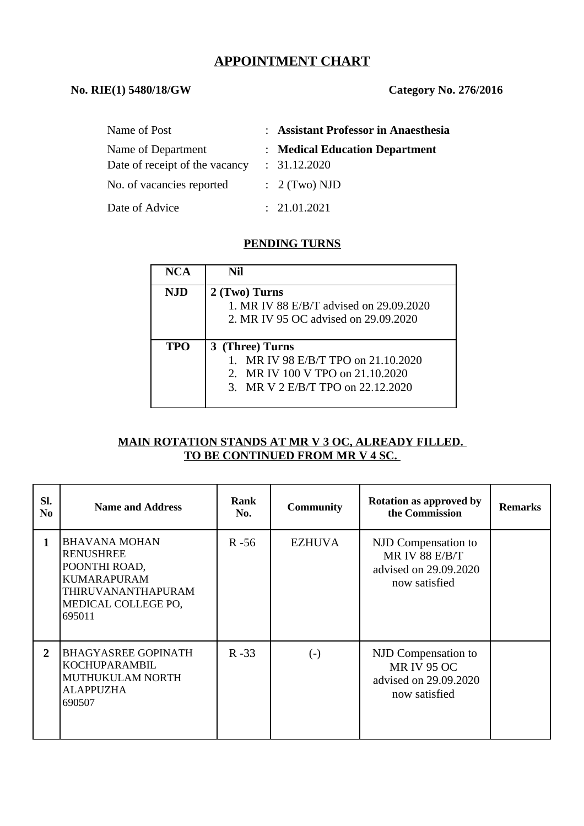# **APPOINTMENT CHART**

#### **No. RIE(1) 5480/18/GW Category No. 276/2016**

| Name of Post                                         | : Assistant Professor in Anaesthesia           |
|------------------------------------------------------|------------------------------------------------|
| Name of Department<br>Date of receipt of the vacancy | : Medical Education Department<br>: 31.12.2020 |
| No. of vacancies reported                            | $\therefore$ 2 (Two) NJD                       |
| Date of Advice                                       | : 21.01.2021                                   |

#### **PENDING TURNS**

| NCA        | Nil                                                                                              |  |  |  |
|------------|--------------------------------------------------------------------------------------------------|--|--|--|
| <b>NJD</b> | 2 (Two) Turns<br>1. MR IV 88 E/B/T advised on 29.09.2020<br>2. MR IV 95 OC advised on 29.09.2020 |  |  |  |
|            |                                                                                                  |  |  |  |
| <b>TPO</b> | 3 (Three) Turns                                                                                  |  |  |  |
|            | 1. MR IV 98 E/B/T TPO on 21.10.2020                                                              |  |  |  |
|            | 2. MR IV 100 V TPO on 21.10.2020                                                                 |  |  |  |
|            | 3. MR V 2 E/B/T TPO on 22.12.2020                                                                |  |  |  |
|            |                                                                                                  |  |  |  |

#### **MAIN ROTATION STANDS AT MR V 3 OC, ALREADY FILLED. TO BE CONTINUED FROM MR V 4 SC.**

| SI.<br>No      | <b>Name and Address</b>                                                                                                                | <b>Rank</b><br>No. | <b>Community</b> | <b>Rotation as approved by</b><br>the Commission                                       | <b>Remarks</b> |
|----------------|----------------------------------------------------------------------------------------------------------------------------------------|--------------------|------------------|----------------------------------------------------------------------------------------|----------------|
| 1              | <b>BHAVANA MOHAN</b><br><b>RENUSHREE</b><br>POONTHI ROAD,<br><b>KUMARAPURAM</b><br>THIRUVANANTHAPURAM<br>MEDICAL COLLEGE PO,<br>695011 | $R - 56$           | <b>EZHUVA</b>    | NJD Compensation to<br><b>MR IV 88 E/B/T</b><br>advised on 29.09.2020<br>now satisfied |                |
| $\overline{2}$ | <b>BHAGYASREE GOPINATH</b><br>KOCHUPARAMBIL<br>MUTHUKULAM NORTH<br><b>ALAPPUZHA</b><br>690507                                          | $R - 33$           | $(\text{-})$     | NJD Compensation to<br><b>MR IV 95 OC</b><br>advised on 29.09.2020<br>now satisfied    |                |